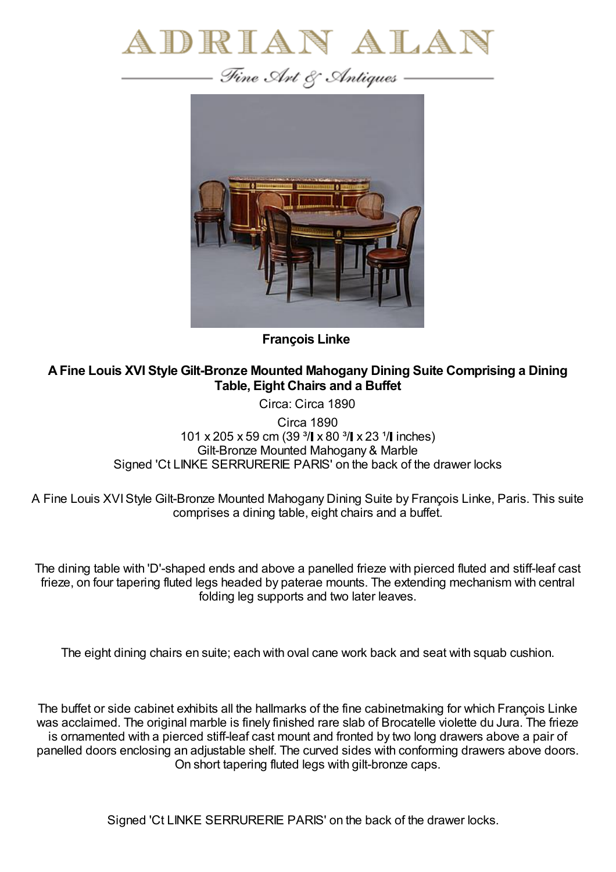



**François Linke**

**AFine Louis XVI Style Gilt-Bronze Mounted Mahogany Dining Suite Comprising a Dining Table, Eight Chairs and a Buffet**

Circa: Circa 1890

Circa 1890 101 x 205 x 59 cm (39  $\frac{3}{1}$  x 80  $\frac{3}{1}$  x 23  $\frac{1}{1}$  inches) Gilt-Bronze Mounted Mahogany & Marble Signed 'Ct LINKE SERRURERIE PARIS' on the back of the drawer locks

A Fine Louis XVIStyle Gilt-Bronze Mounted Mahogany Dining Suite by François Linke, Paris. This suite comprises a dining table, eight chairs and a buffet.

The dining table with 'D'-shaped ends and above a panelled frieze with pierced fluted and stiff-leaf cast frieze, on four tapering fluted legs headed by paterae mounts. The extending mechanism with central folding leg supports and two later leaves.

The eight dining chairs en suite; each with oval cane work back and seat with squab cushion.

The buffet or side cabinet exhibits all the hallmarks of the fine cabinetmaking for which François Linke was acclaimed. The original marble is finely finished rare slab of Brocatelle violette du Jura. The frieze is ornamented with a pierced stiff-leaf cast mount and fronted by two long drawers above a pair of panelled doors enclosing an adjustable shelf. The curved sides with conforming drawers above doors. On short tapering fluted legs with gilt-bronze caps.

Signed 'Ct LINKE SERRURERIE PARIS' on the back of the drawer locks.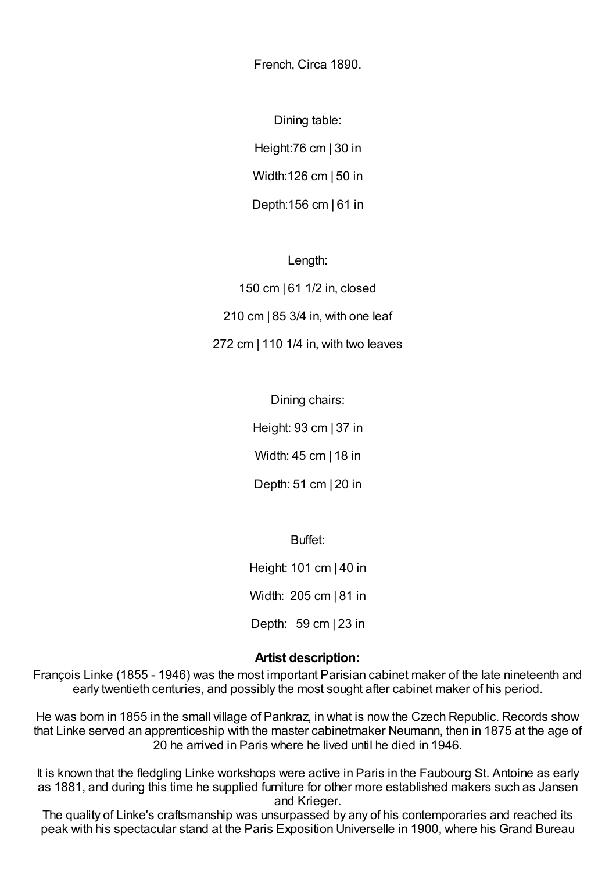French, Circa 1890.

Dining table: Height:76 cm | 30 in Width:126 cm | 50 in Depth:156 cm | 61 in

Length:

150 cm | 61 1/2 in, closed 210 cm | 85 3/4 in, with one leaf 272 cm | 110 1/4 in, with two leaves

> Dining chairs: Height: 93 cm | 37 in Width: 45 cm | 18 in Depth: 51 cm | 20 in

> > Buffet:

Height: 101 cm | 40 in Width: 205 cm | 81 in

Depth: 59 cm | 23 in

## **Artist description:**

François Linke (1855 - 1946) was the most important Parisian cabinet maker of the late nineteenth and early twentieth centuries, and possibly the most sought after cabinet maker of his period.

He was born in 1855 in the small village of Pankraz, in what is now the Czech Republic. Records show that Linke served an apprenticeship with the master cabinetmaker Neumann, then in 1875 at the age of 20 he arrived in Paris where he lived until he died in 1946.

It is known that the fledgling Linke workshops were active in Paris in the Faubourg St. Antoine as early as 1881, and during this time he supplied furniture for other more established makers such as Jansen and Krieger.

The quality of Linke's craftsmanship was unsurpassed by any of his contemporaries and reached its peak with his spectacular stand at the Paris Exposition Universelle in 1900, where his Grand Bureau